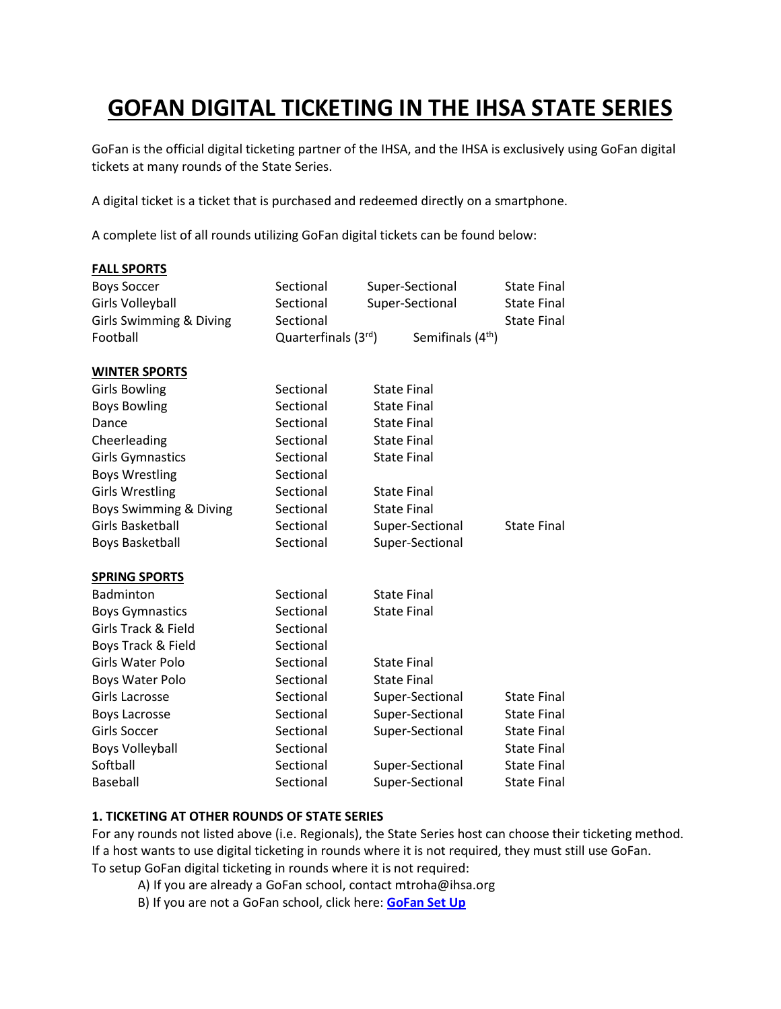# **GOFAN DIGITAL TICKETING IN THE IHSA STATE SERIES**

GoFan is the official digital ticketing partner of the IHSA, and the IHSA is exclusively using GoFan digital tickets at many rounds of the State Series.

A digital ticket is a ticket that is purchased and redeemed directly on a smartphone.

A complete list of all rounds utilizing GoFan digital tickets can be found below:

| <b>FALL SPORTS</b>      |                     |                               |                    |
|-------------------------|---------------------|-------------------------------|--------------------|
| <b>Boys Soccer</b>      | Sectional           | Super-Sectional               | <b>State Final</b> |
| Girls Volleyball        | Sectional           | Super-Sectional               | <b>State Final</b> |
| Girls Swimming & Diving | Sectional           |                               | <b>State Final</b> |
| Football                | Quarterfinals (3rd) | Semifinals (4 <sup>th</sup> ) |                    |
| <b>WINTER SPORTS</b>    |                     |                               |                    |
| <b>Girls Bowling</b>    | Sectional           | <b>State Final</b>            |                    |
| <b>Boys Bowling</b>     | Sectional           | <b>State Final</b>            |                    |
| Dance                   | Sectional           | <b>State Final</b>            |                    |
| Cheerleading            | Sectional           | <b>State Final</b>            |                    |
| <b>Girls Gymnastics</b> | Sectional           | <b>State Final</b>            |                    |
| <b>Boys Wrestling</b>   | Sectional           |                               |                    |
| <b>Girls Wrestling</b>  | Sectional           | <b>State Final</b>            |                    |
| Boys Swimming & Diving  | Sectional           | <b>State Final</b>            |                    |
| Girls Basketball        | Sectional           | Super-Sectional               | <b>State Final</b> |
| <b>Boys Basketball</b>  | Sectional           | Super-Sectional               |                    |
| <b>SPRING SPORTS</b>    |                     |                               |                    |
| Badminton               | Sectional           | <b>State Final</b>            |                    |
| <b>Boys Gymnastics</b>  | Sectional           | <b>State Final</b>            |                    |
| Girls Track & Field     | Sectional           |                               |                    |
| Boys Track & Field      | Sectional           |                               |                    |
| Girls Water Polo        | Sectional           | <b>State Final</b>            |                    |
| Boys Water Polo         | Sectional           | <b>State Final</b>            |                    |
| Girls Lacrosse          | Sectional           | Super-Sectional               | <b>State Final</b> |
| <b>Boys Lacrosse</b>    | Sectional           | Super-Sectional               | <b>State Final</b> |
| Girls Soccer            | Sectional           | Super-Sectional               | <b>State Final</b> |
| <b>Boys Volleyball</b>  | Sectional           |                               | <b>State Final</b> |
| Softball                | Sectional           | Super-Sectional               | <b>State Final</b> |
| Baseball                | Sectional           | Super-Sectional               | <b>State Final</b> |

# **1. TICKETING AT OTHER ROUNDS OF STATE SERIES**

For any rounds not listed above (i.e. Regionals), the State Series host can choose their ticketing method. If a host wants to use digital ticketing in rounds where it is not required, they must still use GoFan. To setup GoFan digital ticketing in rounds where it is not required:

- A) If you are already a GoFan school, contact mtroha@ihsa.org
- B) If you are not a GoFan school, click here: **[GoFan Set Up](https://t.sidekickopen87.com/s3t/c/5/f18dQhb0S7kF8cNfKxW5jM76M2zGCwVN8Jbw_8QsNH0W1yX4-q8rBqZ-W2zlZNz7BNs_xf197v5Y04?te=W3R5hFj4cm2zwW4mKLS-3W0jglW43WgzY3Fbt5SW3R5HJT3ZVczqW3DJRdh3M0h3hW3F4G0x3ZVdrXW1GGnTm45SBbDW3ZrRcZ2KM-1921R3&si=8000000017677872&pi=41d12e3f-c213-4b5c-8827-1c07a9f87f03)**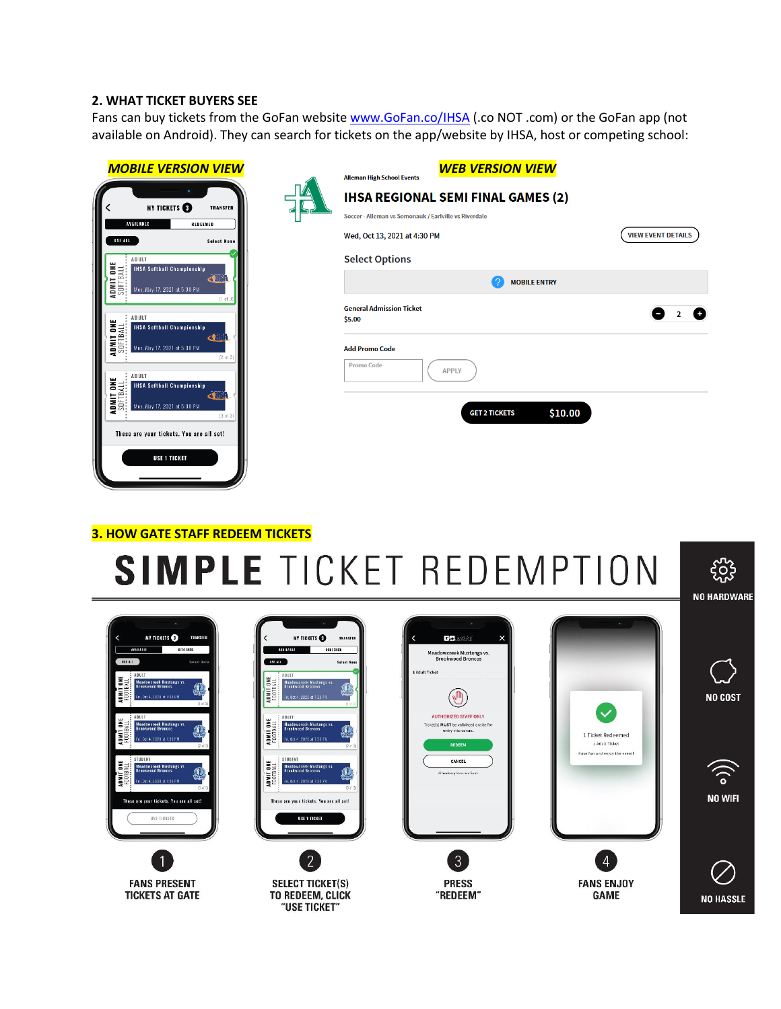# **2. WHAT TICKET BUYERS SEE**

Fans can buy tickets from the GoFan website [www.GoFan.co/IHSA](http://www.gofan.co/IHSA) (.co NOT .com) or the GoFan app (not available on Android). They can search for tickets on the app/website by IHSA, host or competing school:

| <b>MOBILE VERSION VIEW</b>                                                                                                        | <b>Alleman High School Events</b>                     | <b>WEB VERSION VIEW</b>                   |                           |
|-----------------------------------------------------------------------------------------------------------------------------------|-------------------------------------------------------|-------------------------------------------|---------------------------|
| <b>MY TICKETS</b><br>TRANSFER                                                                                                     |                                                       | <b>IHSA REGIONAL SEMI FINAL GAMES (2)</b> |                           |
| AVAILABLE<br>REDEEMED                                                                                                             | Soccer - Alleman vs Somonauk / Earlville vs Riverdale |                                           |                           |
| USE ALL<br><b>Select None</b>                                                                                                     | Wed, Oct 13, 2021 at 4:30 PM                          |                                           | <b>VIEW EVENT DETAILS</b> |
| ADULT<br><b>IHSA Softball Championship</b>                                                                                        | <b>Select Options</b>                                 |                                           |                           |
| ADMIT ONE<br>Softball<br>æ<br>Mon, May 17, 2021 at 5:00 PM                                                                        |                                                       | <b>MOBILE ENTRY</b>                       |                           |
| $[1$ of $3$                                                                                                                       | <b>General Admission Ticket</b>                       |                                           |                           |
| ADULT<br><b>LDMIT ONE</b><br>Softball<br><b>IHSA Softball Championship</b><br>d J<br><b>ADMIT</b><br>Mon, May 17, 2021 at 5:00 PM | \$5.00<br><b>Add Promo Code</b>                       |                                           |                           |
| [2 01 3]<br>ADULT                                                                                                                 | <b>Promo Code</b>                                     | <b>APPLY</b>                              |                           |
| IDMIT ONE<br>Softball<br><b>IHSA Softball Championship</b><br>din<br><b>TINOV</b>                                                 |                                                       |                                           |                           |
| Mon, May 17, 2021 at 5:00 PM<br>[3 ul3]                                                                                           |                                                       | \$10.00<br><b>GET 2 TICKETS</b>           |                           |
| These are your tickets. You are all set!                                                                                          |                                                       |                                           |                           |
| USE 1 TICKET                                                                                                                      |                                                       |                                           |                           |

# **3. HOW GATE STAFF REDEEM TICKETS**

# **SIMPLE TICKET REDEMPTION**

| MY TICKETS<br><b>TRANSFER</b><br><b>ATAILABLE</b><br>REDEEHED<br>USE ALL<br>Salast None<br>ADULT<br>w<br>る<br>Meadowcreek Mustangs vs.<br>Brookwood Broncos<br>œ<br><b>ADMIT</b><br>ri, Det 4, 2020 at 7:30 PM<br>$[1$ at 31<br>ADULT<br>ш<br>š<br>Meadowcreek Mustangs vs.<br>Brookwood Broncos<br><b>TINUT</b><br>i, Det 4, 2020 at 7:30 PM<br>$[2 \text{ of } 3]$<br>STUDENT<br>ш<br>高<br>Meadowcreek Mustangs vs.<br>Brookwood Broncos<br>. 00<br>TINUTE<br>FIOTE<br>1, Det 4, 2020 at 7:30 PM<br>13u(3)<br>These are your tickets. You are all set!<br>USE TICKETS | n.<br>MY TICKETS<br><b>TRANSFER</b><br>REDEEMED<br><b>AVAILABLE</b><br>USE ALL<br><b>Select Nene</b><br>ABULT<br><b>BHE</b><br>Meadowcreek Mustangs vs.<br>Brookwood Broncos<br>ADMIT<br>Fri, Oct 4, 2020 at 7:30 PM<br>(Fight<br>ABULT<br>ADMIT ONE<br>Tootball<br>Meadowereck Mustangs vs.<br>Brookwood Broncos<br>Fri, Oct 4, 2020 at 7:30 PM<br>(2 <sup>o</sup> )<br>STUDENT<br>ADMIT ONE<br>Football<br><b>Meadowcreek Mustangs vs.</b><br><b>Brookwood Broncos</b><br>Fri. Oct 4. 2020 at 7:30 PM<br>(3a)<br>These are your tickets. You are all set!<br><b>USE 1 TICKET</b> | <b>GA</b> yait<br>$\times$<br>Meadowcreek Mustangs vs.<br><b>Brookwood Broncos</b><br>1 Adult Ticket<br><b>AUTHORIZED STAFF ONLY</b><br>Ticket(s) MUST be validated onsite for<br>entry into venue.<br><b>REDEEM</b><br>CANCEL<br>All redemptions are final. | $\checkmark$<br>1 Ticket Redeemed<br>1 Adult Ticket<br>Have fun and enjoy the event! | <b>NO COST</b><br>$\widehat{\bm{\zeta}}$<br><b>NO WIFI</b> |
|-------------------------------------------------------------------------------------------------------------------------------------------------------------------------------------------------------------------------------------------------------------------------------------------------------------------------------------------------------------------------------------------------------------------------------------------------------------------------------------------------------------------------------------------------------------------------|------------------------------------------------------------------------------------------------------------------------------------------------------------------------------------------------------------------------------------------------------------------------------------------------------------------------------------------------------------------------------------------------------------------------------------------------------------------------------------------------------------------------------------------------------------------------------------|--------------------------------------------------------------------------------------------------------------------------------------------------------------------------------------------------------------------------------------------------------------|--------------------------------------------------------------------------------------|------------------------------------------------------------|
|                                                                                                                                                                                                                                                                                                                                                                                                                                                                                                                                                                         | $\mathcal{P}$                                                                                                                                                                                                                                                                                                                                                                                                                                                                                                                                                                      | 3                                                                                                                                                                                                                                                            |                                                                                      |                                                            |
| <b>FANS PRESENT</b><br><b>TICKETS AT GATE</b>                                                                                                                                                                                                                                                                                                                                                                                                                                                                                                                           | <b>SELECT TICKET(S)</b><br>TO REDEEM, CLICK<br>"USE TICKET"                                                                                                                                                                                                                                                                                                                                                                                                                                                                                                                        | <b>PRESS</b><br>"REDEEM"                                                                                                                                                                                                                                     | <b>FANS ENJOY</b><br><b>GAME</b>                                                     | <b>NO HASSLE</b>                                           |

**NO HARDWARE**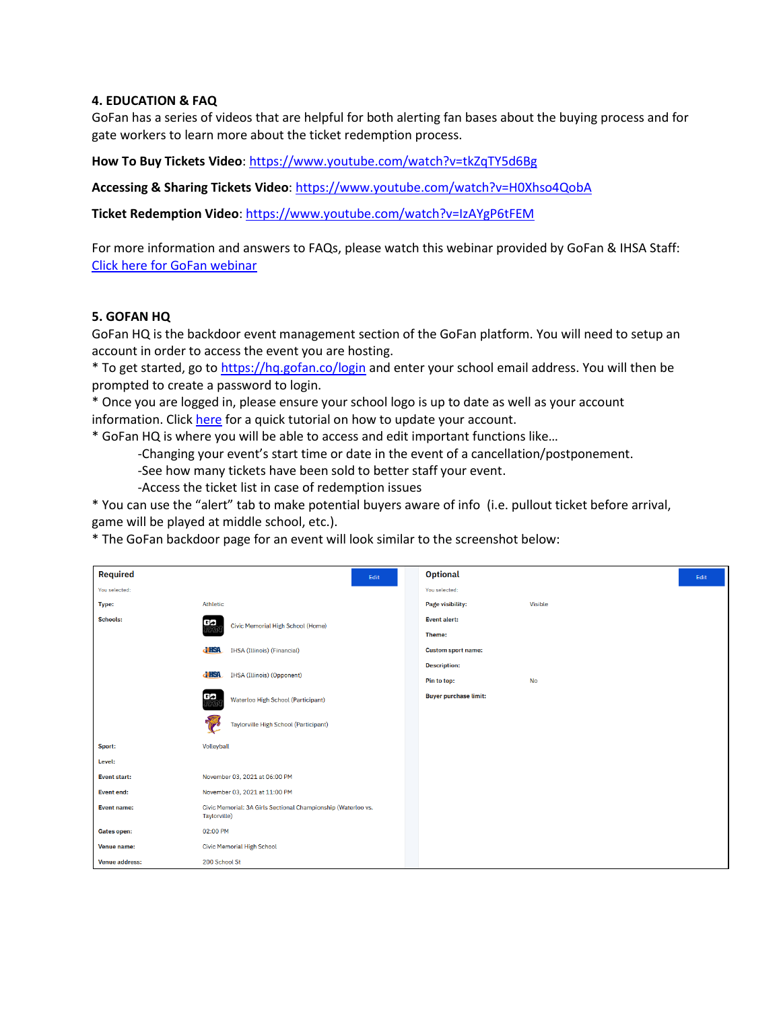# **4. EDUCATION & FAQ**

GoFan has a series of videos that are helpful for both alerting fan bases about the buying process and for gate workers to learn more about the ticket redemption process.

**How To Buy Tickets Video**: <https://www.youtube.com/watch?v=tkZqTY5d6Bg>

**Accessing & Sharing Tickets Video**[: https://www.youtube.com/watch?v=H0Xhso4QobA](https://www.youtube.com/watch?v=H0Xhso4QobA)

**Ticket Redemption Video**[: https://www.youtube.com/watch?v=IzAYgP6tFEM](https://www.youtube.com/watch?v=IzAYgP6tFEM)

For more information and answers to FAQs, please watch this webinar provided by GoFan & IHSA Staff: [Click here for GoFan webinar](https://us02web.zoom.us/rec/play/GJ-QVtFhrycgJ6IqY3dSzGIIh6XKj6Ce30Vojuwn0KhqhU7s9wbQjrYWIZ1FJqvsbZSwmSalZJLlOLY.pAqiKlfCFc-5yA6l?continueMode=true&_x_zm_rtaid=hgpBDvMiQO-_JSgWLjveWg.1634153822096.dda42fc6b6667755c38420a4a08ac1f7&_x_zm_rhtaid=419)

# **5. GOFAN HQ**

GoFan HQ is the backdoor event management section of the GoFan platform. You will need to setup an account in order to access the event you are hosting.

\* To get started, go to<https://hq.gofan.co/login> and enter your school email address. You will then be prompted to create a password to login.

\* Once you are logged in, please ensure your school logo is up to date as well as your account information. Clic[k here](https://gofan.zendesk.com/hc/en-us/articles/4407363147543-How-to-Change-or-Set-your-School-Logo) for a quick tutorial on how to update your account.

\* GoFan HQ is where you will be able to access and edit important functions like…

-Changing your event's start time or date in the event of a cancellation/postponement.

-See how many tickets have been sold to better staff your event.

-Access the ticket list in case of redemption issues

\* You can use the "alert" tab to make potential buyers aware of info (i.e. pullout ticket before arrival, game will be played at middle school, etc.).

\* The GoFan backdoor page for an event will look similar to the screenshot below:

| <b>Required</b>       | Edit                                                                          | <b>Optional</b>              | Edit |
|-----------------------|-------------------------------------------------------------------------------|------------------------------|------|
| You selected:         |                                                                               | You selected:                |      |
| Type:                 | Athletic                                                                      | Page visibility:<br>Visible  |      |
| <b>Schools:</b>       | 監<br>Civic Memorial High School (Home)                                        | <b>Event alert:</b>          |      |
|                       |                                                                               | Theme:                       |      |
|                       | <b>d'HSA</b><br><b>IHSA</b> (Illinois) (Financial)                            | <b>Custom sport name:</b>    |      |
| <b>d'HSA</b>          |                                                                               | <b>Description:</b>          |      |
|                       | <b>IHSA</b> (Illinois) (Opponent)                                             | No<br>Pin to top:            |      |
|                       | 監<br>Waterloo High School (Participant)                                       | <b>Buyer purchase limit:</b> |      |
|                       | Taylorville High School (Participant)                                         |                              |      |
| Sport:                | Volleyball                                                                    |                              |      |
| Level:                |                                                                               |                              |      |
| <b>Event start:</b>   | November 03, 2021 at 06:00 PM                                                 |                              |      |
| <b>Event end:</b>     | November 03, 2021 at 11:00 PM                                                 |                              |      |
| <b>Event name:</b>    | Civic Memorial: 3A Girls Sectional Championship (Waterloo vs.<br>Taylorville) |                              |      |
| <b>Gates open:</b>    | 02:00 PM                                                                      |                              |      |
| <b>Venue name:</b>    | <b>Civic Memorial High School</b>                                             |                              |      |
| <b>Venue address:</b> | 200 School St                                                                 |                              |      |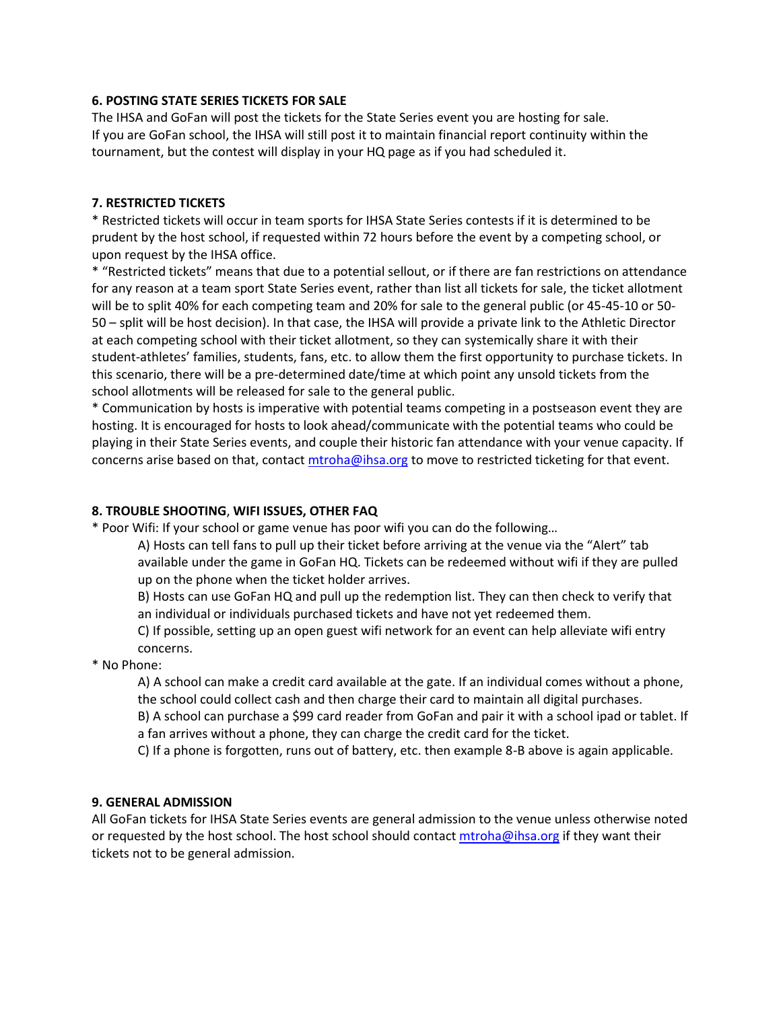# **6. POSTING STATE SERIES TICKETS FOR SALE**

The IHSA and GoFan will post the tickets for the State Series event you are hosting for sale. If you are GoFan school, the IHSA will still post it to maintain financial report continuity within the tournament, but the contest will display in your HQ page as if you had scheduled it.

# **7. RESTRICTED TICKETS**

\* Restricted tickets will occur in team sports for IHSA State Series contests if it is determined to be prudent by the host school, if requested within 72 hours before the event by a competing school, or upon request by the IHSA office.

\* "Restricted tickets" means that due to a potential sellout, or if there are fan restrictions on attendance for any reason at a team sport State Series event, rather than list all tickets for sale, the ticket allotment will be to split 40% for each competing team and 20% for sale to the general public (or 45-45-10 or 50- 50 – split will be host decision). In that case, the IHSA will provide a private link to the Athletic Director at each competing school with their ticket allotment, so they can systemically share it with their student-athletes' families, students, fans, etc. to allow them the first opportunity to purchase tickets. In this scenario, there will be a pre-determined date/time at which point any unsold tickets from the school allotments will be released for sale to the general public.

\* Communication by hosts is imperative with potential teams competing in a postseason event they are hosting. It is encouraged for hosts to look ahead/communicate with the potential teams who could be playing in their State Series events, and couple their historic fan attendance with your venue capacity. If concerns arise based on that, contac[t mtroha@ihsa.org](mailto:mtroha@ihsa.org) to move to restricted ticketing for that event.

# **8. TROUBLE SHOOTING**, **WIFI ISSUES, OTHER FAQ**

\* Poor Wifi: If your school or game venue has poor wifi you can do the following…

A) Hosts can tell fans to pull up their ticket before arriving at the venue via the "Alert" tab available under the game in GoFan HQ. Tickets can be redeemed without wifi if they are pulled up on the phone when the ticket holder arrives.

 B) Hosts can use GoFan HQ and pull up the redemption list. They can then check to verify that an individual or individuals purchased tickets and have not yet redeemed them.

 C) If possible, setting up an open guest wifi network for an event can help alleviate wifi entry concerns.

\* No Phone:

A) A school can make a credit card available at the gate. If an individual comes without a phone, the school could collect cash and then charge their card to maintain all digital purchases.

B) A school can purchase a \$99 card reader from GoFan and pair it with a school ipad or tablet. If a fan arrives without a phone, they can charge the credit card for the ticket.

C) If a phone is forgotten, runs out of battery, etc. then example 8-B above is again applicable.

# **9. GENERAL ADMISSION**

All GoFan tickets for IHSA State Series events are general admission to the venue unless otherwise noted or requested by the host school. The host school should contact [mtroha@ihsa.org](mailto:mtroha@ihsa.org) if they want their tickets not to be general admission.